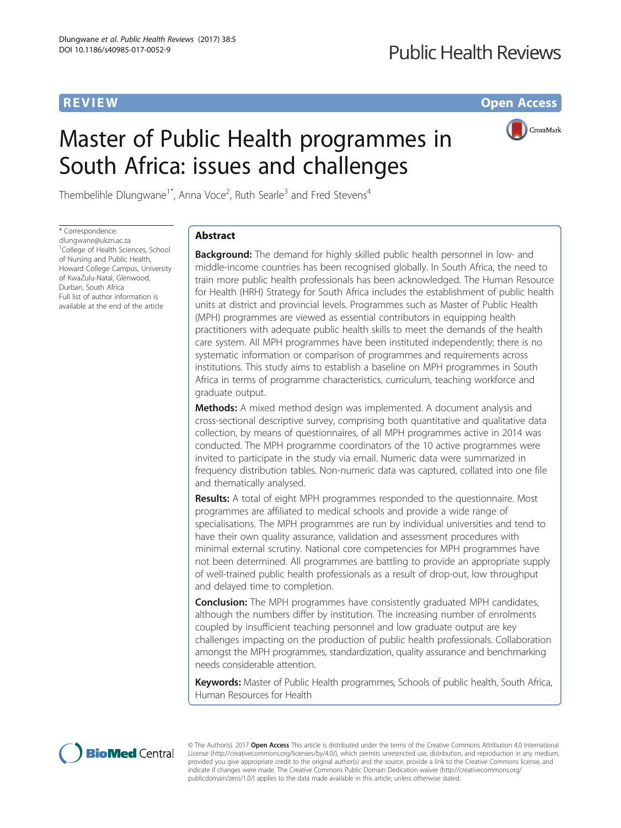# **Public Health Reviews**

**REVIEW CONSTRUCTION CONSTRUCTION CONSTRUCTION CONSTRUCTS** 

# Master of Public Health programmes in South Africa: issues and challenges



Thembelihle Dlungwane<sup>1\*</sup>, Anna Voce<sup>2</sup>, Ruth Searle<sup>3</sup> and Fred Stevens<sup>4</sup>

\* Correspondence: [dlungwane@ukzn.ac.za](mailto:dlungwane@ukzn.ac.za) <sup>1</sup>College of Health Sciences, School of Nursing and Public Health, Howard College Campus, University of KwaZulu-Natal, Glenwood, Durban, South Africa Full list of author information is available at the end of the article

# Abstract

**Background:** The demand for highly skilled public health personnel in low- and middle-income countries has been recognised globally. In South Africa, the need to train more public health professionals has been acknowledged. The Human Resource for Health (HRH) Strategy for South Africa includes the establishment of public health units at district and provincial levels. Programmes such as Master of Public Health (MPH) programmes are viewed as essential contributors in equipping health practitioners with adequate public health skills to meet the demands of the health care system. All MPH programmes have been instituted independently; there is no systematic information or comparison of programmes and requirements across institutions. This study aims to establish a baseline on MPH programmes in South Africa in terms of programme characteristics, curriculum, teaching workforce and graduate output.

**Methods:** A mixed method design was implemented. A document analysis and cross-sectional descriptive survey, comprising both quantitative and qualitative data collection, by means of questionnaires, of all MPH programmes active in 2014 was conducted. The MPH programme coordinators of the 10 active programmes were invited to participate in the study via email. Numeric data were summarized in frequency distribution tables. Non-numeric data was captured, collated into one file and thematically analysed.

Results: A total of eight MPH programmes responded to the questionnaire. Most programmes are affiliated to medical schools and provide a wide range of specialisations. The MPH programmes are run by individual universities and tend to have their own quality assurance, validation and assessment procedures with minimal external scrutiny. National core competencies for MPH programmes have not been determined. All programmes are battling to provide an appropriate supply of well-trained public health professionals as a result of drop-out, low throughput and delayed time to completion.

**Conclusion:** The MPH programmes have consistently graduated MPH candidates, although the numbers differ by institution. The increasing number of enrolments coupled by insufficient teaching personnel and low graduate output are key challenges impacting on the production of public health professionals. Collaboration amongst the MPH programmes, standardization, quality assurance and benchmarking needs considerable attention.

Keywords: Master of Public Health programmes, Schools of public health, South Africa, Human Resources for Health



© The Author(s). 2017 Open Access This article is distributed under the terms of the Creative Commons Attribution 4.0 International License ([http://creativecommons.org/licenses/by/4.0/\)](http://creativecommons.org/licenses/by/4.0/), which permits unrestricted use, distribution, and reproduction in any medium, provided you give appropriate credit to the original author(s) and the source, provide a link to the Creative Commons license, and indicate if changes were made. The Creative Commons Public Domain Dedication waiver ([http://creativecommons.org/](http://creativecommons.org/publicdomain/zero/1.0/) [publicdomain/zero/1.0/\)](http://creativecommons.org/publicdomain/zero/1.0/) applies to the data made available in this article, unless otherwise stated.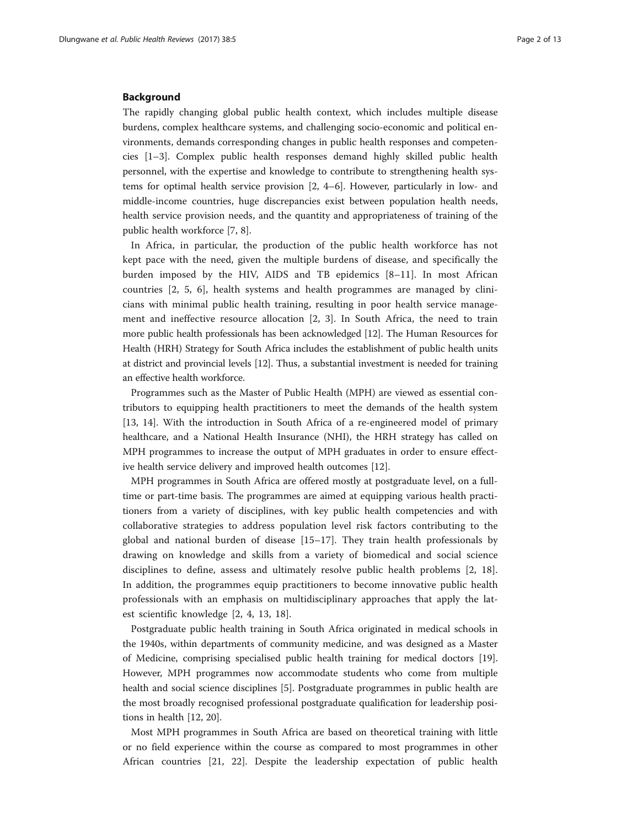### Background

The rapidly changing global public health context, which includes multiple disease burdens, complex healthcare systems, and challenging socio-economic and political environments, demands corresponding changes in public health responses and competencies [[1](#page-11-0)–[3\]](#page-11-0). Complex public health responses demand highly skilled public health personnel, with the expertise and knowledge to contribute to strengthening health systems for optimal health service provision [\[2](#page-11-0), [4](#page-11-0)–[6](#page-11-0)]. However, particularly in low- and middle-income countries, huge discrepancies exist between population health needs, health service provision needs, and the quantity and appropriateness of training of the public health workforce [[7, 8\]](#page-11-0).

In Africa, in particular, the production of the public health workforce has not kept pace with the need, given the multiple burdens of disease, and specifically the burden imposed by the HIV, AIDS and TB epidemics [[8](#page-11-0)–[11](#page-11-0)]. In most African countries [[2, 5, 6](#page-11-0)], health systems and health programmes are managed by clinicians with minimal public health training, resulting in poor health service management and ineffective resource allocation [[2, 3\]](#page-11-0). In South Africa, the need to train more public health professionals has been acknowledged [[12](#page-11-0)]. The Human Resources for Health (HRH) Strategy for South Africa includes the establishment of public health units at district and provincial levels [\[12\]](#page-11-0). Thus, a substantial investment is needed for training an effective health workforce.

Programmes such as the Master of Public Health (MPH) are viewed as essential contributors to equipping health practitioners to meet the demands of the health system [[13, 14\]](#page-11-0). With the introduction in South Africa of a re-engineered model of primary healthcare, and a National Health Insurance (NHI), the HRH strategy has called on MPH programmes to increase the output of MPH graduates in order to ensure effective health service delivery and improved health outcomes [\[12](#page-11-0)].

MPH programmes in South Africa are offered mostly at postgraduate level, on a fulltime or part-time basis. The programmes are aimed at equipping various health practitioners from a variety of disciplines, with key public health competencies and with collaborative strategies to address population level risk factors contributing to the global and national burden of disease  $[15-17]$  $[15-17]$  $[15-17]$  $[15-17]$ . They train health professionals by drawing on knowledge and skills from a variety of biomedical and social science disciplines to define, assess and ultimately resolve public health problems [[2, 18](#page-11-0)]. In addition, the programmes equip practitioners to become innovative public health professionals with an emphasis on multidisciplinary approaches that apply the latest scientific knowledge [[2, 4, 13, 18](#page-11-0)].

Postgraduate public health training in South Africa originated in medical schools in the 1940s, within departments of community medicine, and was designed as a Master of Medicine, comprising specialised public health training for medical doctors [[19](#page-11-0)]. However, MPH programmes now accommodate students who come from multiple health and social science disciplines [\[5](#page-11-0)]. Postgraduate programmes in public health are the most broadly recognised professional postgraduate qualification for leadership positions in health [[12, 20](#page-11-0)].

Most MPH programmes in South Africa are based on theoretical training with little or no field experience within the course as compared to most programmes in other African countries [\[21, 22](#page-11-0)]. Despite the leadership expectation of public health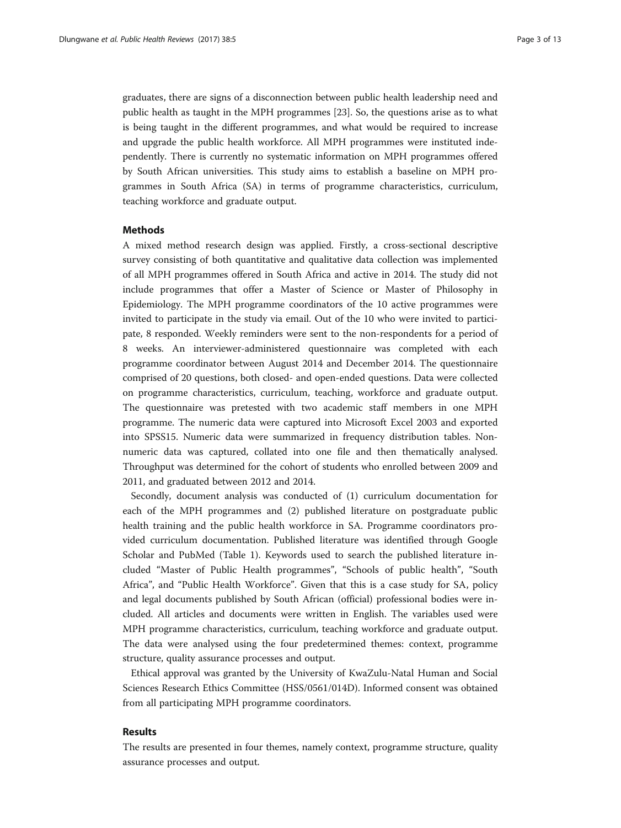graduates, there are signs of a disconnection between public health leadership need and public health as taught in the MPH programmes [\[23\]](#page-11-0). So, the questions arise as to what is being taught in the different programmes, and what would be required to increase and upgrade the public health workforce. All MPH programmes were instituted independently. There is currently no systematic information on MPH programmes offered by South African universities. This study aims to establish a baseline on MPH programmes in South Africa (SA) in terms of programme characteristics, curriculum, teaching workforce and graduate output.

# Methods

A mixed method research design was applied. Firstly, a cross-sectional descriptive survey consisting of both quantitative and qualitative data collection was implemented of all MPH programmes offered in South Africa and active in 2014. The study did not include programmes that offer a Master of Science or Master of Philosophy in Epidemiology. The MPH programme coordinators of the 10 active programmes were invited to participate in the study via email. Out of the 10 who were invited to participate, 8 responded. Weekly reminders were sent to the non-respondents for a period of 8 weeks. An interviewer-administered questionnaire was completed with each programme coordinator between August 2014 and December 2014. The questionnaire comprised of 20 questions, both closed- and open-ended questions. Data were collected on programme characteristics, curriculum, teaching, workforce and graduate output. The questionnaire was pretested with two academic staff members in one MPH programme. The numeric data were captured into Microsoft Excel 2003 and exported into SPSS15. Numeric data were summarized in frequency distribution tables. Nonnumeric data was captured, collated into one file and then thematically analysed. Throughput was determined for the cohort of students who enrolled between 2009 and 2011, and graduated between 2012 and 2014.

Secondly, document analysis was conducted of (1) curriculum documentation for each of the MPH programmes and (2) published literature on postgraduate public health training and the public health workforce in SA. Programme coordinators provided curriculum documentation. Published literature was identified through Google Scholar and PubMed (Table [1\)](#page-3-0). Keywords used to search the published literature included "Master of Public Health programmes", "Schools of public health", "South Africa", and "Public Health Workforce". Given that this is a case study for SA, policy and legal documents published by South African (official) professional bodies were included. All articles and documents were written in English. The variables used were MPH programme characteristics, curriculum, teaching workforce and graduate output. The data were analysed using the four predetermined themes: context, programme structure, quality assurance processes and output.

Ethical approval was granted by the University of KwaZulu-Natal Human and Social Sciences Research Ethics Committee (HSS/0561/014D). Informed consent was obtained from all participating MPH programme coordinators.

# Results

The results are presented in four themes, namely context, programme structure, quality assurance processes and output.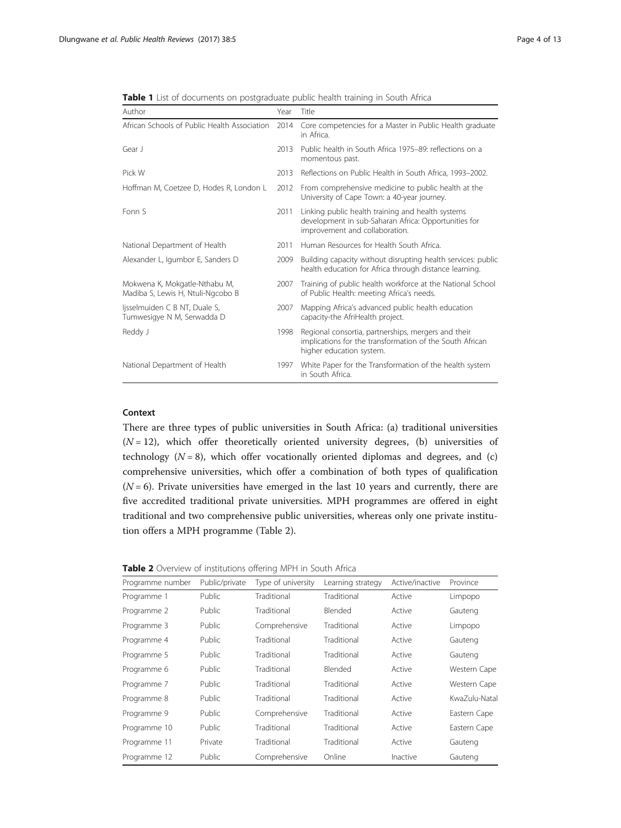| Author                                                             | Year | Title                                                                                                                                       |
|--------------------------------------------------------------------|------|---------------------------------------------------------------------------------------------------------------------------------------------|
| African Schools of Public Health Association                       | 2014 | Core competencies for a Master in Public Health graduate<br>in Africa.                                                                      |
| Gear J                                                             | 2013 | Public health in South Africa 1975–89: reflections on a<br>momentous past.                                                                  |
| Pick W                                                             | 2013 | Reflections on Public Health in South Africa, 1993-2002.                                                                                    |
| Hoffman M, Coetzee D, Hodes R, London L                            | 2012 | From comprehensive medicine to public health at the<br>University of Cape Town: a 40-year journey.                                          |
| Fonn S                                                             | 2011 | Linking public health training and health systems<br>development in sub-Saharan Africa: Opportunities for<br>improvement and collaboration. |
| National Department of Health                                      | 2011 | Human Resources for Health South Africa.                                                                                                    |
| Alexander L, Igumbor E, Sanders D                                  | 2009 | Building capacity without disrupting health services: public<br>health education for Africa through distance learning.                      |
| Mokwena K, Mokgatle-Nthabu M,<br>Madiba S, Lewis H, Ntuli-Ngcobo B | 2007 | Training of public health workforce at the National School<br>of Public Health: meeting Africa's needs.                                     |
| Ijsselmuiden C B NT, Duale S,<br>Tumwesigye N M, Serwadda D        | 2007 | Mapping Africa's advanced public health education<br>capacity-the AfriHealth project.                                                       |
| Reddy J                                                            | 1998 | Regional consortia, partnerships, mergers and their<br>implications for the transformation of the South African<br>higher education system. |
| National Department of Health                                      | 1997 | White Paper for the Transformation of the health system<br>in South Africa.                                                                 |

<span id="page-3-0"></span>Table 1 List of documents on postgraduate public health training in South Africa

# Context

There are three types of public universities in South Africa: (a) traditional universities  $(N = 12)$ , which offer theoretically oriented university degrees, (b) universities of technology  $(N = 8)$ , which offer vocationally oriented diplomas and degrees, and (c) comprehensive universities, which offer a combination of both types of qualification  $(N = 6)$ . Private universities have emerged in the last 10 years and currently, there are five accredited traditional private universities. MPH programmes are offered in eight traditional and two comprehensive public universities, whereas only one private institution offers a MPH programme (Table 2).

Table 2 Overview of institutions offering MPH in South Africa

| Programme number | Public/private | Type of university | Learning strategy | Active/inactive | Province      |
|------------------|----------------|--------------------|-------------------|-----------------|---------------|
| Programme 1      | Public         | Traditional        | Traditional       | Active          | Limpopo       |
| Programme 2      | Public         | Traditional        | Blended           | Active          | Gauteng       |
| Programme 3      | Public         | Comprehensive      | Traditional       | Active          | Limpopo       |
| Programme 4      | Public         | Traditional        | Traditional       | Active          | Gauteng       |
| Programme 5      | Public         | Traditional        | Traditional       | Active          | Gauteng       |
| Programme 6      | Public         | Traditional        | Blended           | Active          | Western Cape  |
| Programme 7      | Public         | Traditional        | Traditional       | Active          | Western Cape  |
| Programme 8      | Public         | Traditional        | Traditional       | Active          | KwaZulu-Natal |
| Programme 9      | Public         | Comprehensive      | Traditional       | Active          | Eastern Cape  |
| Programme 10     | Public         | Traditional        | Traditional       | Active          | Eastern Cape  |
| Programme 11     | Private        | Traditional        | Traditional       | Active          | Gauteng       |
| Programme 12     | Public         | Comprehensive      | Online            | Inactive        | Gauteng       |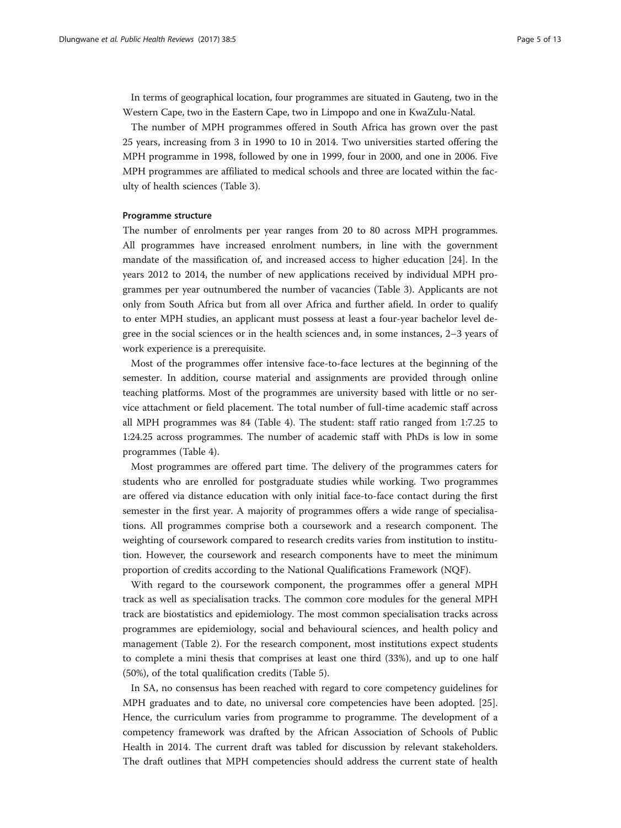In terms of geographical location, four programmes are situated in Gauteng, two in the Western Cape, two in the Eastern Cape, two in Limpopo and one in KwaZulu-Natal.

The number of MPH programmes offered in South Africa has grown over the past 25 years, increasing from 3 in 1990 to 10 in 2014. Two universities started offering the MPH programme in 1998, followed by one in 1999, four in 2000, and one in 2006. Five MPH programmes are affiliated to medical schools and three are located within the faculty of health sciences (Table [3\)](#page-5-0).

# Programme structure

The number of enrolments per year ranges from 20 to 80 across MPH programmes. All programmes have increased enrolment numbers, in line with the government mandate of the massification of, and increased access to higher education [[24](#page-11-0)]. In the years 2012 to 2014, the number of new applications received by individual MPH programmes per year outnumbered the number of vacancies (Table [3](#page-5-0)). Applicants are not only from South Africa but from all over Africa and further afield. In order to qualify to enter MPH studies, an applicant must possess at least a four-year bachelor level degree in the social sciences or in the health sciences and, in some instances, 2–3 years of work experience is a prerequisite.

Most of the programmes offer intensive face-to-face lectures at the beginning of the semester. In addition, course material and assignments are provided through online teaching platforms. Most of the programmes are university based with little or no service attachment or field placement. The total number of full-time academic staff across all MPH programmes was 84 (Table [4\)](#page-6-0). The student: staff ratio ranged from 1:7.25 to 1:24.25 across programmes. The number of academic staff with PhDs is low in some programmes (Table [4](#page-6-0)).

Most programmes are offered part time. The delivery of the programmes caters for students who are enrolled for postgraduate studies while working. Two programmes are offered via distance education with only initial face-to-face contact during the first semester in the first year. A majority of programmes offers a wide range of specialisations. All programmes comprise both a coursework and a research component. The weighting of coursework compared to research credits varies from institution to institution. However, the coursework and research components have to meet the minimum proportion of credits according to the National Qualifications Framework (NQF).

With regard to the coursework component, the programmes offer a general MPH track as well as specialisation tracks. The common core modules for the general MPH track are biostatistics and epidemiology. The most common specialisation tracks across programmes are epidemiology, social and behavioural sciences, and health policy and management (Table [2\)](#page-3-0). For the research component, most institutions expect students to complete a mini thesis that comprises at least one third (33%), and up to one half (50%), of the total qualification credits (Table [5\)](#page-6-0).

In SA, no consensus has been reached with regard to core competency guidelines for MPH graduates and to date, no universal core competencies have been adopted. [[25](#page-11-0)]. Hence, the curriculum varies from programme to programme. The development of a competency framework was drafted by the African Association of Schools of Public Health in 2014. The current draft was tabled for discussion by relevant stakeholders. The draft outlines that MPH competencies should address the current state of health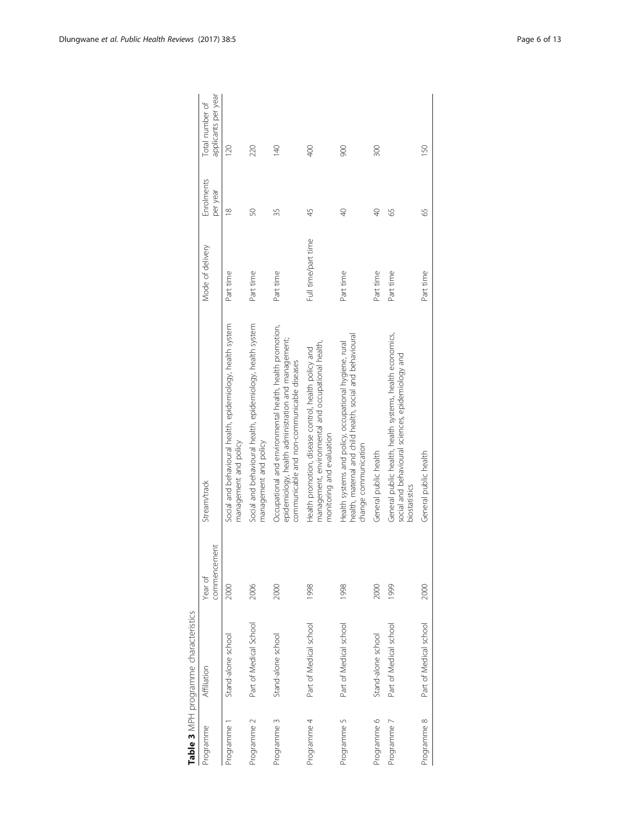<span id="page-5-0"></span>

|             | Table 3 MPH programme characteristics |                         |                                                                                                                                                               |                     |                               |                                        |
|-------------|---------------------------------------|-------------------------|---------------------------------------------------------------------------------------------------------------------------------------------------------------|---------------------|-------------------------------|----------------------------------------|
| Programme   | Affiliation                           | commencement<br>Year of | Stream/track                                                                                                                                                  | Mode of delivery    | <b>Enrolments</b><br>per year | applicants per year<br>Total number of |
| Programme   | Stand-alone school                    | 2000                    | Social and behavioural health, epidemiology, health system<br>management and policy                                                                           | Part time           | $\frac{8}{1}$                 | 120                                    |
| Programme 2 | Part of Medical School                | 2006                    | Social and behavioural health, epidemiology, health system<br>management and policy                                                                           | Part time           | SO                            | 220                                    |
| Programme 3 | Stand-alone school                    | 2000                    | Occupational and environmental health, health promotion,<br>epidemiology, health administration and management;<br>communicable and non-communicable diseases | Part time           | 35                            | 140                                    |
| Programme 4 | Part of Medical school                | 1998                    | management, environmental and occupational health,<br>Health promotion, disease control, health policy and<br>monitoring and evaluation                       | Full time/part time | 45                            | 400                                    |
| Programme 5 | Part of Medical school                | 1998                    | health, maternal and child health, social and behavioural<br>Health systems and policy, occupational hygiene, rural<br>change communication                   | Part time           | $\sqrt{4}$                    | 800                                    |
| Programme 6 | Stand-alone school                    | 2000                    | General public health                                                                                                                                         | Part time           | $\overline{Q}$                | 300                                    |
| Programme 7 | Part of Medical school                | 1999                    | General public health, health systems, health economics,<br>social and behavioural sciences, epidemiology and<br>biostatistics                                | Part time           | 65                            |                                        |
| Programme 8 | Part of Medical school                | 2000                    | General public health                                                                                                                                         | Part time           | 99                            | 150                                    |
|             |                                       |                         |                                                                                                                                                               |                     |                               |                                        |

| <b>A A VA A 4 A</b><br>j |  |
|--------------------------|--|
|                          |  |
|                          |  |
|                          |  |
|                          |  |
| ı<br>I                   |  |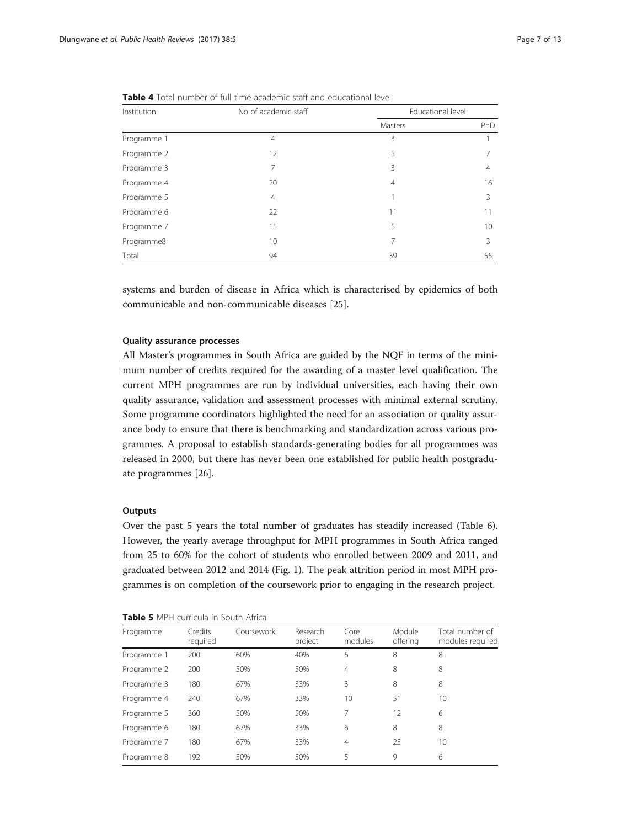| Institution | No of academic staff | Educational level |     |  |
|-------------|----------------------|-------------------|-----|--|
|             |                      | Masters           | PhD |  |
| Programme 1 | $\overline{4}$       | 3                 |     |  |
| Programme 2 | 12                   | 5                 |     |  |
| Programme 3 | 7                    | 3                 | 4   |  |
| Programme 4 | 20                   | $\overline{4}$    | 16  |  |
| Programme 5 | $\overline{4}$       |                   | 3   |  |
| Programme 6 | 22                   | 11                | 11  |  |
| Programme 7 | 15                   | 5                 | 10  |  |
| Programme8  | 10                   | 7                 | 3   |  |
| Total       | 94                   | 39                | 55  |  |

<span id="page-6-0"></span>Table 4 Total number of full time academic staff and educational level

systems and burden of disease in Africa which is characterised by epidemics of both communicable and non-communicable diseases [[25](#page-11-0)].

# Quality assurance processes

All Master's programmes in South Africa are guided by the NQF in terms of the minimum number of credits required for the awarding of a master level qualification. The current MPH programmes are run by individual universities, each having their own quality assurance, validation and assessment processes with minimal external scrutiny. Some programme coordinators highlighted the need for an association or quality assurance body to ensure that there is benchmarking and standardization across various programmes. A proposal to establish standards-generating bodies for all programmes was released in 2000, but there has never been one established for public health postgraduate programmes [[26\]](#page-11-0).

## **Outputs**

Over the past 5 years the total number of graduates has steadily increased (Table [6](#page-7-0)). However, the yearly average throughput for MPH programmes in South Africa ranged from 25 to 60% for the cohort of students who enrolled between 2009 and 2011, and graduated between 2012 and 2014 (Fig. [1](#page-7-0)). The peak attrition period in most MPH programmes is on completion of the coursework prior to engaging in the research project.

| <b>I GIVIC J</b> IVIL LE COLLICOIO ILE JOULE / MITCO |                     |            |                     |                 |                    |                                     |
|------------------------------------------------------|---------------------|------------|---------------------|-----------------|--------------------|-------------------------------------|
| Programme                                            | Credits<br>required | Coursework | Research<br>project | Core<br>modules | Module<br>offering | Total number of<br>modules required |
| Programme 1                                          | 200                 | 60%        | 40%                 | 6               | 8                  | 8                                   |
| Programme 2                                          | 200                 | 50%        | 50%                 | $\overline{4}$  | 8                  | 8                                   |
| Programme 3                                          | 180                 | 67%        | 33%                 | 3               | 8                  | 8                                   |
| Programme 4                                          | 240                 | 67%        | 33%                 | 10              | 51                 | 10                                  |
| Programme 5                                          | 360                 | 50%        | 50%                 |                 | 12                 | 6                                   |
| Programme 6                                          | 180                 | 67%        | 33%                 | 6               | 8                  | 8                                   |
| Programme 7                                          | 180                 | 67%        | 33%                 | 4               | 25                 | 10 <sup>°</sup>                     |
| Programme 8                                          | 192                 | 50%        | 50%                 | 5               | 9                  | 6                                   |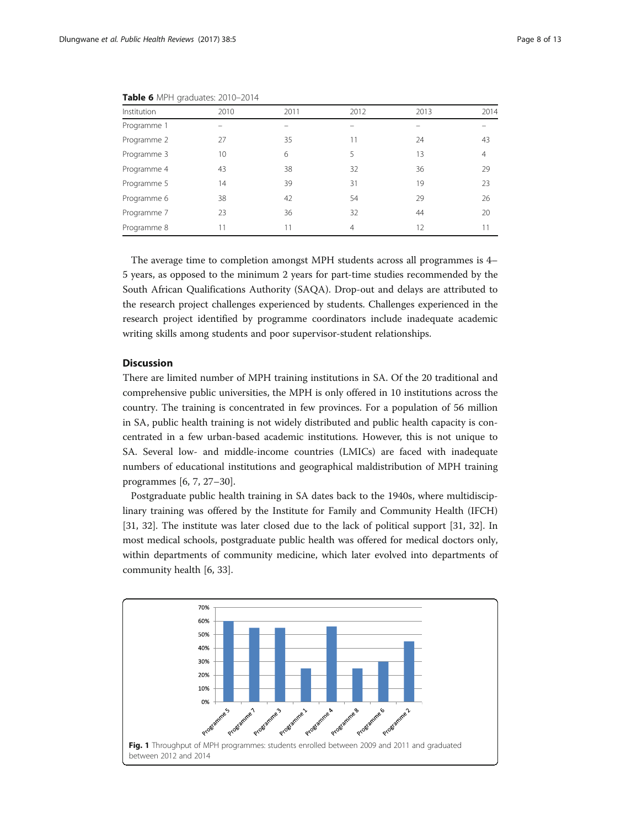| Institution | 2010           | 2011 | 2012 | 2013 | 2014 |
|-------------|----------------|------|------|------|------|
| Programme 1 |                |      |      |      |      |
| Programme 2 | 27             | 35   | 11   | 24   | 43   |
| Programme 3 | 10             | 6    | 5    | 13   | 4    |
| Programme 4 | 43             | 38   | 32   | 36   | 29   |
| Programme 5 | 14             | 39   | 31   | 19   | 23   |
| Programme 6 | 38             | 42   | 54   | 29   | 26   |
| Programme 7 | 23             | 36   | 32   | 44   | 20   |
| Programme 8 | $\overline{1}$ | 11   | 4    | 12   | 11   |

<span id="page-7-0"></span>Table 6 MPH graduates: 2010-2014

The average time to completion amongst MPH students across all programmes is 4– 5 years, as opposed to the minimum 2 years for part-time studies recommended by the South African Qualifications Authority (SAQA). Drop-out and delays are attributed to the research project challenges experienced by students. Challenges experienced in the research project identified by programme coordinators include inadequate academic writing skills among students and poor supervisor-student relationships.

# **Discussion**

There are limited number of MPH training institutions in SA. Of the 20 traditional and comprehensive public universities, the MPH is only offered in 10 institutions across the country. The training is concentrated in few provinces. For a population of 56 million in SA, public health training is not widely distributed and public health capacity is concentrated in a few urban-based academic institutions. However, this is not unique to SA. Several low- and middle-income countries (LMICs) are faced with inadequate numbers of educational institutions and geographical maldistribution of MPH training programmes [\[6, 7](#page-11-0), [27](#page-11-0)–[30\]](#page-11-0).

Postgraduate public health training in SA dates back to the 1940s, where multidisciplinary training was offered by the Institute for Family and Community Health (IFCH) [[31, 32](#page-11-0)]. The institute was later closed due to the lack of political support [[31](#page-11-0), [32](#page-11-0)]. In most medical schools, postgraduate public health was offered for medical doctors only, within departments of community medicine, which later evolved into departments of community health [[6](#page-11-0), [33](#page-11-0)].

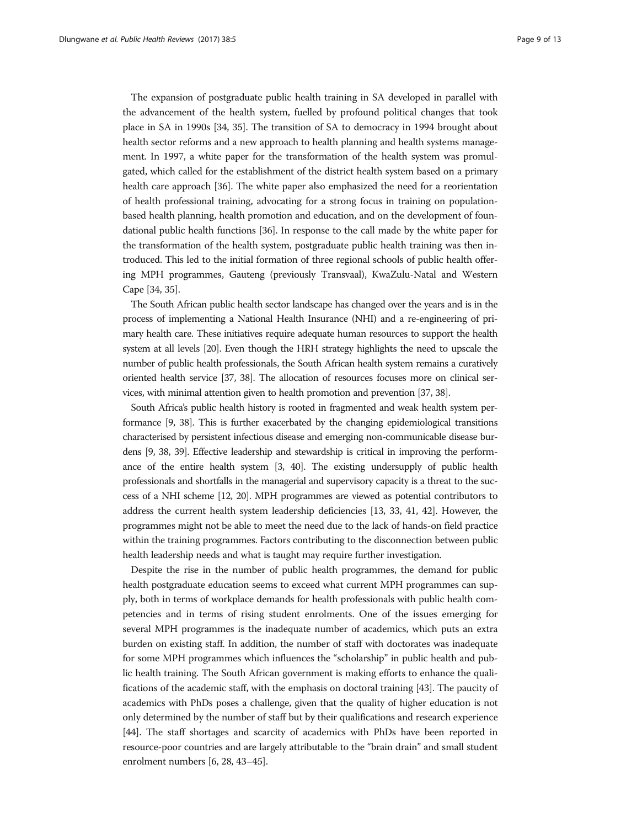The expansion of postgraduate public health training in SA developed in parallel with the advancement of the health system, fuelled by profound political changes that took place in SA in 1990s [\[34, 35\]](#page-12-0). The transition of SA to democracy in 1994 brought about health sector reforms and a new approach to health planning and health systems management. In 1997, a white paper for the transformation of the health system was promulgated, which called for the establishment of the district health system based on a primary health care approach [[36](#page-12-0)]. The white paper also emphasized the need for a reorientation of health professional training, advocating for a strong focus in training on populationbased health planning, health promotion and education, and on the development of foundational public health functions [[36](#page-12-0)]. In response to the call made by the white paper for the transformation of the health system, postgraduate public health training was then introduced. This led to the initial formation of three regional schools of public health offering MPH programmes, Gauteng (previously Transvaal), KwaZulu-Natal and Western Cape [[34](#page-12-0), [35\]](#page-12-0).

The South African public health sector landscape has changed over the years and is in the process of implementing a National Health Insurance (NHI) and a re-engineering of primary health care. These initiatives require adequate human resources to support the health system at all levels [\[20](#page-11-0)]. Even though the HRH strategy highlights the need to upscale the number of public health professionals, the South African health system remains a curatively oriented health service [\[37, 38\]](#page-12-0). The allocation of resources focuses more on clinical services, with minimal attention given to health promotion and prevention [[37](#page-12-0), [38](#page-12-0)].

South Africa's public health history is rooted in fragmented and weak health system performance [\[9](#page-11-0), [38\]](#page-12-0). This is further exacerbated by the changing epidemiological transitions characterised by persistent infectious disease and emerging non-communicable disease burdens [\[9,](#page-11-0) [38, 39\]](#page-12-0). Effective leadership and stewardship is critical in improving the performance of the entire health system [\[3](#page-11-0), [40](#page-12-0)]. The existing undersupply of public health professionals and shortfalls in the managerial and supervisory capacity is a threat to the success of a NHI scheme [\[12](#page-11-0), [20](#page-11-0)]. MPH programmes are viewed as potential contributors to address the current health system leadership deficiencies [\[13, 33](#page-11-0), [41](#page-12-0), [42\]](#page-12-0). However, the programmes might not be able to meet the need due to the lack of hands-on field practice within the training programmes. Factors contributing to the disconnection between public health leadership needs and what is taught may require further investigation.

Despite the rise in the number of public health programmes, the demand for public health postgraduate education seems to exceed what current MPH programmes can supply, both in terms of workplace demands for health professionals with public health competencies and in terms of rising student enrolments. One of the issues emerging for several MPH programmes is the inadequate number of academics, which puts an extra burden on existing staff. In addition, the number of staff with doctorates was inadequate for some MPH programmes which influences the "scholarship" in public health and public health training. The South African government is making efforts to enhance the qualifications of the academic staff, with the emphasis on doctoral training [\[43\]](#page-12-0). The paucity of academics with PhDs poses a challenge, given that the quality of higher education is not only determined by the number of staff but by their qualifications and research experience [[44](#page-12-0)]. The staff shortages and scarcity of academics with PhDs have been reported in resource-poor countries and are largely attributable to the "brain drain" and small student enrolment numbers [[6, 28,](#page-11-0) [43](#page-12-0)–[45\]](#page-12-0).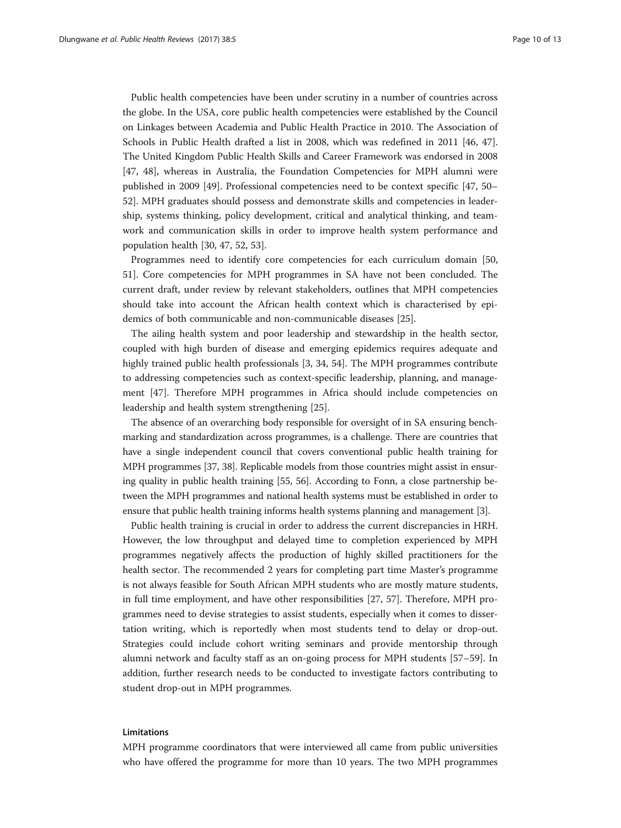Public health competencies have been under scrutiny in a number of countries across the globe. In the USA, core public health competencies were established by the Council on Linkages between Academia and Public Health Practice in 2010. The Association of Schools in Public Health drafted a list in 2008, which was redefined in 2011 [[46, 47](#page-12-0)]. The United Kingdom Public Health Skills and Career Framework was endorsed in 2008 [[47, 48](#page-12-0)], whereas in Australia, the Foundation Competencies for MPH alumni were published in 2009 [\[49\]](#page-12-0). Professional competencies need to be context specific [[47](#page-12-0), [50](#page-12-0)– [52](#page-12-0)]. MPH graduates should possess and demonstrate skills and competencies in leadership, systems thinking, policy development, critical and analytical thinking, and teamwork and communication skills in order to improve health system performance and population health [[30,](#page-11-0) [47, 52, 53](#page-12-0)].

Programmes need to identify core competencies for each curriculum domain [[50](#page-12-0), [51](#page-12-0)]. Core competencies for MPH programmes in SA have not been concluded. The current draft, under review by relevant stakeholders, outlines that MPH competencies should take into account the African health context which is characterised by epidemics of both communicable and non-communicable diseases [[25\]](#page-11-0).

The ailing health system and poor leadership and stewardship in the health sector, coupled with high burden of disease and emerging epidemics requires adequate and highly trained public health professionals [[3,](#page-11-0) [34, 54\]](#page-12-0). The MPH programmes contribute to addressing competencies such as context-specific leadership, planning, and management [\[47\]](#page-12-0). Therefore MPH programmes in Africa should include competencies on leadership and health system strengthening [\[25\]](#page-11-0).

The absence of an overarching body responsible for oversight of in SA ensuring benchmarking and standardization across programmes, is a challenge. There are countries that have a single independent council that covers conventional public health training for MPH programmes [[37](#page-12-0), [38\]](#page-12-0). Replicable models from those countries might assist in ensuring quality in public health training [[55](#page-12-0), [56](#page-12-0)]. According to Fonn, a close partnership between the MPH programmes and national health systems must be established in order to ensure that public health training informs health systems planning and management [\[3](#page-11-0)].

Public health training is crucial in order to address the current discrepancies in HRH. However, the low throughput and delayed time to completion experienced by MPH programmes negatively affects the production of highly skilled practitioners for the health sector. The recommended 2 years for completing part time Master's programme is not always feasible for South African MPH students who are mostly mature students, in full time employment, and have other responsibilities [\[27](#page-11-0), [57](#page-12-0)]. Therefore, MPH programmes need to devise strategies to assist students, especially when it comes to dissertation writing, which is reportedly when most students tend to delay or drop-out. Strategies could include cohort writing seminars and provide mentorship through alumni network and faculty staff as an on-going process for MPH students [[57](#page-12-0)–[59](#page-12-0)]. In addition, further research needs to be conducted to investigate factors contributing to student drop-out in MPH programmes.

# Limitations

MPH programme coordinators that were interviewed all came from public universities who have offered the programme for more than 10 years. The two MPH programmes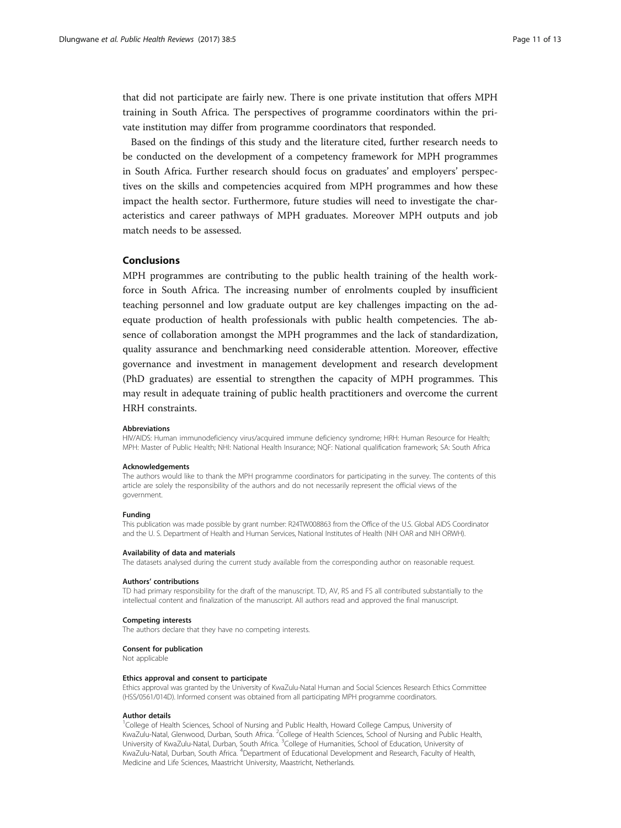that did not participate are fairly new. There is one private institution that offers MPH training in South Africa. The perspectives of programme coordinators within the private institution may differ from programme coordinators that responded.

Based on the findings of this study and the literature cited, further research needs to be conducted on the development of a competency framework for MPH programmes in South Africa. Further research should focus on graduates' and employers' perspectives on the skills and competencies acquired from MPH programmes and how these impact the health sector. Furthermore, future studies will need to investigate the characteristics and career pathways of MPH graduates. Moreover MPH outputs and job match needs to be assessed.

# Conclusions

MPH programmes are contributing to the public health training of the health workforce in South Africa. The increasing number of enrolments coupled by insufficient teaching personnel and low graduate output are key challenges impacting on the adequate production of health professionals with public health competencies. The absence of collaboration amongst the MPH programmes and the lack of standardization, quality assurance and benchmarking need considerable attention. Moreover, effective governance and investment in management development and research development (PhD graduates) are essential to strengthen the capacity of MPH programmes. This may result in adequate training of public health practitioners and overcome the current HRH constraints.

#### Abbreviations

HIV/AIDS: Human immunodeficiency virus/acquired immune deficiency syndrome; HRH: Human Resource for Health; MPH: Master of Public Health; NHI: National Health Insurance; NQF: National qualification framework; SA: South Africa

#### Acknowledgements

The authors would like to thank the MPH programme coordinators for participating in the survey. The contents of this article are solely the responsibility of the authors and do not necessarily represent the official views of the government.

#### Funding

This publication was made possible by grant number: R24TW008863 from the Office of the U.S. Global AIDS Coordinator and the U. S. Department of Health and Human Services, National Institutes of Health (NIH OAR and NIH ORWH).

#### Availability of data and materials

The datasets analysed during the current study available from the corresponding author on reasonable request.

#### Authors' contributions

TD had primary responsibility for the draft of the manuscript. TD, AV, RS and FS all contributed substantially to the intellectual content and finalization of the manuscript. All authors read and approved the final manuscript.

#### Competing interests

The authors declare that they have no competing interests.

#### Consent for publication

Not applicable

#### Ethics approval and consent to participate

Ethics approval was granted by the University of KwaZulu-Natal Human and Social Sciences Research Ethics Committee (HSS/0561/014D). Informed consent was obtained from all participating MPH programme coordinators.

#### Author details

<sup>1</sup>College of Health Sciences, School of Nursing and Public Health, Howard College Campus, University of KwaZulu-Natal, Glenwood, Durban, South Africa. <sup>2</sup>College of Health Sciences, School of Nursing and Public Health, University of KwaZulu-Natal, Durban, South Africa. <sup>3</sup>College of Humanities, School of Education, University of KwaZulu-Natal, Durban, South Africa. <sup>4</sup>Department of Educational Development and Research, Faculty of Health, Medicine and Life Sciences, Maastricht University, Maastricht, Netherlands.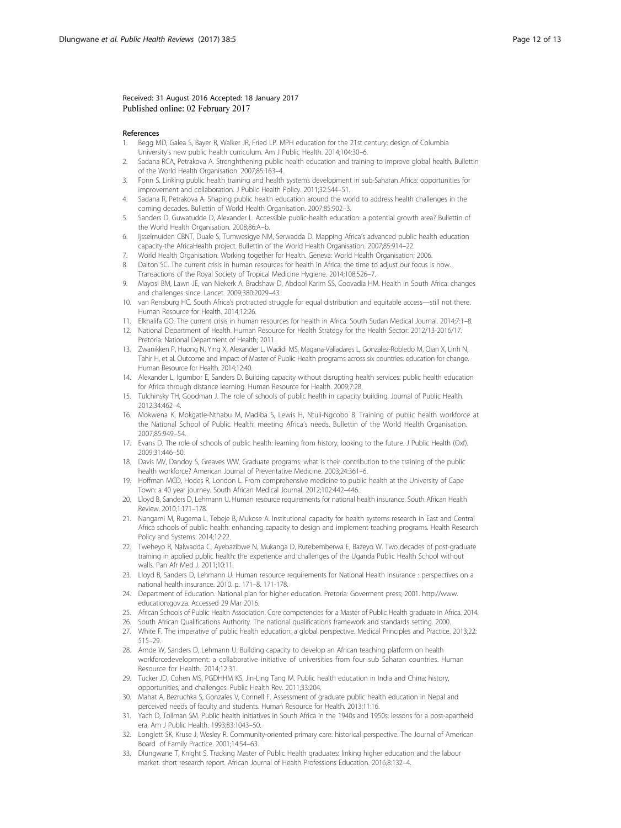### <span id="page-11-0"></span>Received: 31 August 2016 Accepted: 18 January 2017 Published online: 02 February 2017

#### References

- Begg MD, Galea S, Bayer R, Walker JR, Fried LP. MPH education for the 21st century: design of Columbia University's new public health curriculum. Am J Public Health. 2014;104:30–6.
- 2. Sadana RCA, Petrakova A. Strenghthening public health education and training to improve global health. Bullettin of the World Health Organisation. 2007;85:163–4.
- 3. Fonn S. Linking public health training and health systems development in sub-Saharan Africa: opportunities for improvement and collaboration. J Public Health Policy. 2011;32:S44–51.
- 4. Sadana R, Petrakova A. Shaping public health education around the world to address health challenges in the coming decades. Bullettin of World Health Organisation. 2007;85:902–3.
- 5. Sanders D, Guwatudde D, Alexander L. Accessible public-health education: a potential growth area? Bullettin of the World Health Organisation. 2008;86:A–b.
- 6. Ijsselmuiden CBNT, Duale S, Tumwesigye NM, Serwadda D. Mapping Africa's advanced public health education capacity-the AfricaHealth project. Bullettin of the World Health Organisation. 2007;85:914–22.
- 7. World Health Organisation. Working together for Health. Geneva: World Health Organisation; 2006.
- 8. Dalton SC. The current crisis in human resources for health in Africa: the time to adjust our focus is now. Transactions of the Royal Society of Tropical Medicine Hygiene. 2014;108:526–7.
- 9. Mayosi BM, Lawn JE, van Niekerk A, Bradshaw D, Abdool Karim SS, Coovadia HM. Health in South Africa: changes and challenges since. Lancet. 2009;380:2029–43.
- 10. van Rensburg HC. South Africa's protracted struggle for equal distribution and equitable access—still not there. Human Resource for Health. 2014;12:26.
- 11. Elkhalifa GO. The current crisis in human resources for health in Africa. South Sudan Medical Journal. 2014;7:1–8.
- 12. National Department of Health. Human Resource for Health Strategy for the Health Sector: 2012/13-2016/17. Pretoria: National Department of Health; 2011.
- 13. Zwanikken P, Huong N, Ying X, Alexander L, Wadidi MS, Magana-Valladares L, Gonzalez-Robledo M, Qian X, Linh N, Tahir H, et al. Outcome and impact of Master of Public Health programs across six countries: education for change. Human Resource for Health. 2014;12:40.
- 14. Alexander L, Igumbor E, Sanders D. Building capacity without disrupting health services: public health education for Africa through distance learning. Human Resource for Health. 2009;7:28.
- 15. Tulchinsky TH, Goodman J. The role of schools of public health in capacity building. Journal of Public Health. 2012;34:462–4.
- 16. Mokwena K, Mokgatle-Nthabu M, Madiba S, Lewis H, Ntuli-Ngcobo B. Training of public health workforce at the National School of Public Health: meeting Africa's needs. Bullettin of the World Health Organisation. 2007;85:949–54.
- 17. Evans D. The role of schools of public health: learning from history, looking to the future. J Public Health (Oxf). 2009;31:446–50.
- 18. Davis MV, Dandoy S, Greaves WW. Graduate programs: what is their contribution to the training of the public health workforce? American Journal of Preventative Medicine. 2003;24:361–6.
- 19. Hoffman MCD, Hodes R, London L. From comprehensive medicine to public health at the University of Cape Town: a 40 year journey. South African Medical Journal. 2012;102:442–446.
- 20. Lloyd B, Sanders D, Lehmann U. Human resource requirements for national health insurance. South African Health Review. 2010;1:171–178.
- 21. Nangami M, Rugema L, Tebeje B, Mukose A. Institutional capacity for health systems research in East and Central Africa schools of public health: enhancing capacity to design and implement teaching programs. Health Research Policy and Systems. 2014;12:22.
- 22. Tweheyo R, Nalwadda C, Ayebazibwe N, Mukanga D, Rutebemberwa E, Bazeyo W. Two decades of post-graduate training in applied public health: the experience and challenges of the Uganda Public Health School without walls. Pan Afr Med J. 2011;10:11.
- 23. Lloyd B, Sanders D, Lehmann U. Human resource requirements for National Health Insurance : perspectives on a national health insurance. 2010. p. 171–8. 171-178.
- 24. Department of Education. National plan for higher education. Pretoria: Goverment press; 2001. [http://www.](http://www.education.gov.za) [education.gov.za](http://www.education.gov.za). Accessed 29 Mar 2016.
- 25. African Schools of Public Health Association. Core competencies for a Master of Public Health graduate in Africa. 2014.
- 26. South African Qualifications Authority. The national qualifications framework and standards setting. 2000.
- 27. White F. The imperative of public health education: a global perspective. Medical Principles and Practice. 2013;22: 515–29.
- 28. Amde W, Sanders D, Lehmann U. Building capacity to develop an African teaching platform on health workforcedevelopment: a collaborative initiative of universities from four sub Saharan countries. Human Resource for Health. 2014;12:31.
- 29. Tucker JD, Cohen MS, PGDHHM KS, Jin-Ling Tang M. Public health education in India and China: history, opportunities, and challenges. Public Health Rev. 2011;33:204.
- 30. Mahat A, Bezruchka S, Gonzales V, Connell F. Assessment of graduate public health education in Nepal and perceived needs of faculty and students. Human Resource for Health. 2013;11:16.
- 31. Yach D, Tollman SM. Public health initiatives in South Africa in the 1940s and 1950s: lessons for a post-apartheid era. Am J Public Health. 1993;83:1043–50.
- 32. Longlett SK, Kruse J, Wesley R. Community-oriented primary care: historical perspective. The Journal of American Board of Family Practice. 2001;14:54–63.
- 33. Dlungwane T, Knight S. Tracking Master of Public Health graduates: linking higher education and the labour market: short research report. African Journal of Health Professions Education. 2016;8:132–4.